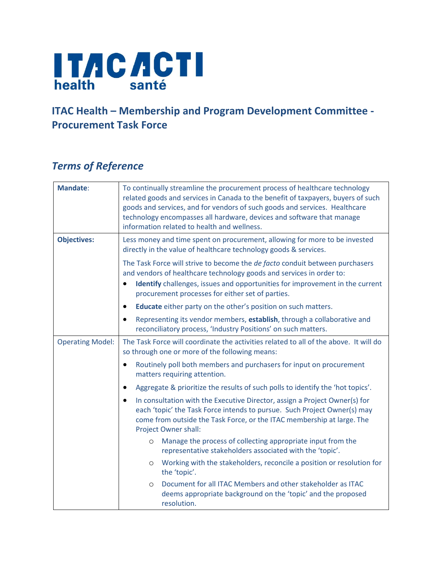

## **ITAC Health – Membership and Program Development Committee - Procurement Task Force**

## *Terms of Reference*

| <b>Mandate:</b>         | To continually streamline the procurement process of healthcare technology<br>related goods and services in Canada to the benefit of taxpayers, buyers of such<br>goods and services, and for vendors of such goods and services. Healthcare<br>technology encompasses all hardware, devices and software that manage<br>information related to health and wellness. |  |  |
|-------------------------|----------------------------------------------------------------------------------------------------------------------------------------------------------------------------------------------------------------------------------------------------------------------------------------------------------------------------------------------------------------------|--|--|
| <b>Objectives:</b>      | Less money and time spent on procurement, allowing for more to be invested<br>directly in the value of healthcare technology goods & services.                                                                                                                                                                                                                       |  |  |
|                         | The Task Force will strive to become the de facto conduit between purchasers<br>and vendors of healthcare technology goods and services in order to:<br><b>Identify</b> challenges, issues and opportunities for improvement in the current<br>$\bullet$<br>procurement processes for either set of parties.                                                         |  |  |
|                         | Educate either party on the other's position on such matters.<br>$\bullet$                                                                                                                                                                                                                                                                                           |  |  |
|                         | Representing its vendor members, establish, through a collaborative and<br>$\bullet$<br>reconciliatory process, 'Industry Positions' on such matters.                                                                                                                                                                                                                |  |  |
| <b>Operating Model:</b> | The Task Force will coordinate the activities related to all of the above. It will do<br>so through one or more of the following means:                                                                                                                                                                                                                              |  |  |
|                         | Routinely poll both members and purchasers for input on procurement<br>$\bullet$<br>matters requiring attention.                                                                                                                                                                                                                                                     |  |  |
|                         | Aggregate & prioritize the results of such polls to identify the 'hot topics'.<br>$\bullet$                                                                                                                                                                                                                                                                          |  |  |
|                         | In consultation with the Executive Director, assign a Project Owner(s) for<br>each 'topic' the Task Force intends to pursue. Such Project Owner(s) may<br>come from outside the Task Force, or the ITAC membership at large. The<br><b>Project Owner shall:</b>                                                                                                      |  |  |
|                         | Manage the process of collecting appropriate input from the<br>$\circ$<br>representative stakeholders associated with the 'topic'.                                                                                                                                                                                                                                   |  |  |
|                         | Working with the stakeholders, reconcile a position or resolution for<br>$\circ$<br>the 'topic'.                                                                                                                                                                                                                                                                     |  |  |
|                         | Document for all ITAC Members and other stakeholder as ITAC<br>$\circ$<br>deems appropriate background on the 'topic' and the proposed<br>resolution.                                                                                                                                                                                                                |  |  |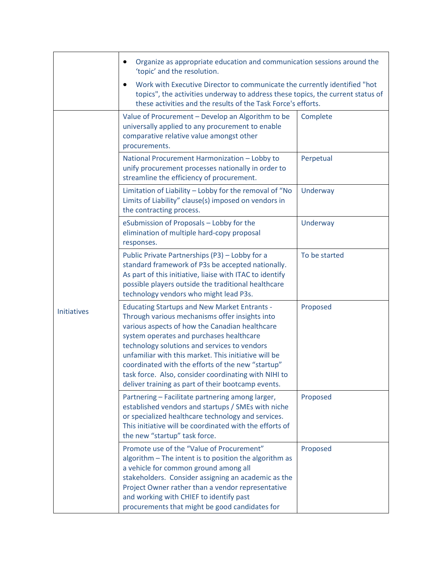|                    | Organize as appropriate education and communication sessions around the<br>'topic' and the resolution.<br>Work with Executive Director to communicate the currently identified "hot<br>topics", the activities underway to address these topics, the current status of<br>these activities and the results of the Task Force's efforts.                                                                                                                                        |               |  |
|--------------------|--------------------------------------------------------------------------------------------------------------------------------------------------------------------------------------------------------------------------------------------------------------------------------------------------------------------------------------------------------------------------------------------------------------------------------------------------------------------------------|---------------|--|
|                    |                                                                                                                                                                                                                                                                                                                                                                                                                                                                                |               |  |
| <b>Initiatives</b> | Value of Procurement - Develop an Algorithm to be<br>universally applied to any procurement to enable<br>comparative relative value amongst other<br>procurements.                                                                                                                                                                                                                                                                                                             | Complete      |  |
|                    | National Procurement Harmonization - Lobby to<br>unify procurement processes nationally in order to<br>streamline the efficiency of procurement.                                                                                                                                                                                                                                                                                                                               | Perpetual     |  |
|                    | Limitation of Liability - Lobby for the removal of "No<br>Limits of Liability" clause(s) imposed on vendors in<br>the contracting process.                                                                                                                                                                                                                                                                                                                                     | Underway      |  |
|                    | eSubmission of Proposals - Lobby for the<br>elimination of multiple hard-copy proposal<br>responses.                                                                                                                                                                                                                                                                                                                                                                           | Underway      |  |
|                    | Public Private Partnerships (P3) - Lobby for a<br>standard framework of P3s be accepted nationally.<br>As part of this initiative, liaise with ITAC to identify<br>possible players outside the traditional healthcare<br>technology vendors who might lead P3s.                                                                                                                                                                                                               | To be started |  |
|                    | <b>Educating Startups and New Market Entrants -</b><br>Through various mechanisms offer insights into<br>various aspects of how the Canadian healthcare<br>system operates and purchases healthcare<br>technology solutions and services to vendors<br>unfamiliar with this market. This initiative will be<br>coordinated with the efforts of the new "startup"<br>task force. Also, consider coordinating with NIHI to<br>deliver training as part of their bootcamp events. | Proposed      |  |
|                    | Partnering - Facilitate partnering among larger,<br>established vendors and startups / SMEs with niche<br>or specialized healthcare technology and services.<br>This initiative will be coordinated with the efforts of<br>the new "startup" task force.                                                                                                                                                                                                                       | Proposed      |  |
|                    | Promote use of the "Value of Procurement"<br>algorithm - The intent is to position the algorithm as<br>a vehicle for common ground among all<br>stakeholders. Consider assigning an academic as the<br>Project Owner rather than a vendor representative<br>and working with CHIEF to identify past<br>procurements that might be good candidates for                                                                                                                          | Proposed      |  |